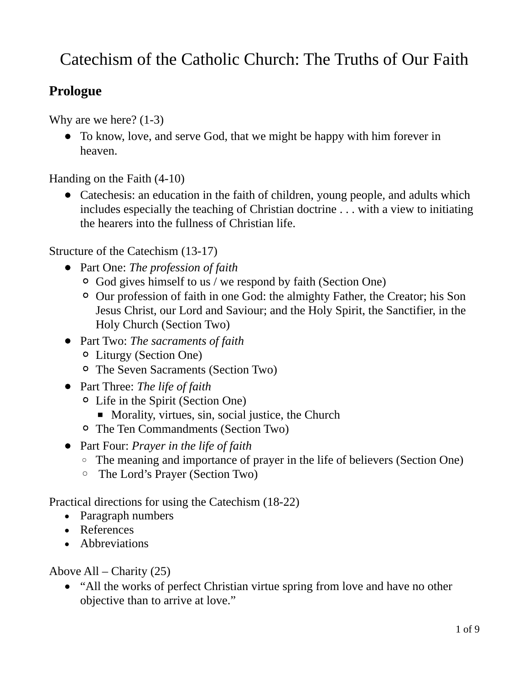# Catechism of the Catholic Church: The Truths of Our Faith

## **Prologue**

Why are we here? (1-3)

 To know, love, and serve God, that we might be happy with him forever in heaven.

Handing on the Faith (4-10)

• Catechesis: an education in the faith of children, young people, and adults which includes especially the teaching of Christian doctrine . . . with a view to initiating the hearers into the fullness of Christian life.

Structure of the Catechism (13-17)

- Part One: *The profession of faith*
	- God gives himself to us / we respond by faith (Section One)
	- Our profession of faith in one God: the almighty Father, the Creator; his Son Jesus Christ, our Lord and Saviour; and the Holy Spirit, the Sanctifier, in the Holy Church (Section Two)
- Part Two: *The sacraments of faith*
	- Liturgy (Section One)
	- The Seven Sacraments (Section Two)
- Part Three: *The life of faith*
	- Life in the Spirit (Section One)
		- Morality, virtues, sin, social justice, the Church
	- The Ten Commandments (Section Two)
- Part Four: *Prayer in the life of faith*
	- The meaning and importance of prayer in the life of believers (Section One)
	- The Lord's Prayer (Section Two)

Practical directions for using the Catechism (18-22)

- Paragraph numbers
- References
- Abbreviations

Above All – Charity (25)

 "All the works of perfect Christian virtue spring from love and have no other objective than to arrive at love."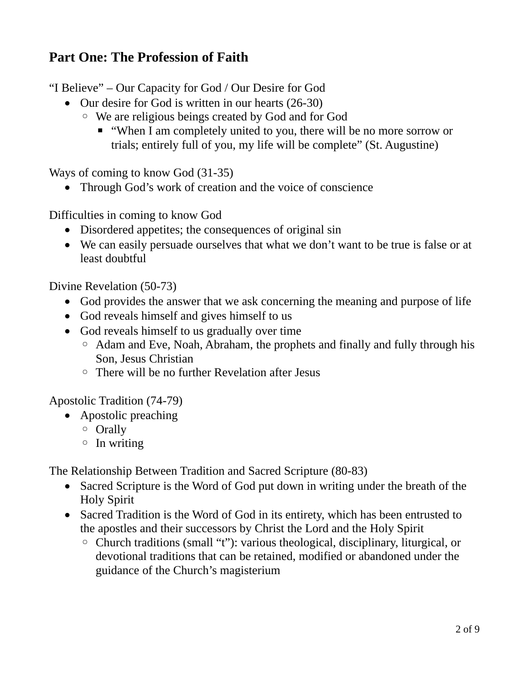## **Part One: The Profession of Faith**

"I Believe" – Our Capacity for God / Our Desire for God

- Our desire for God is written in our hearts (26-30)
	- We are religious beings created by God and for God
		- "When I am completely united to you, there will be no more sorrow or trials; entirely full of you, my life will be complete" (St. Augustine)

Ways of coming to know God (31-35)

• Through God's work of creation and the voice of conscience

Difficulties in coming to know God

- Disordered appetites; the consequences of original sin
- We can easily persuade ourselves that what we don't want to be true is false or at least doubtful

Divine Revelation (50-73)

- God provides the answer that we ask concerning the meaning and purpose of life
- God reveals himself and gives himself to us
- God reveals himself to us gradually over time
	- Adam and Eve, Noah, Abraham, the prophets and finally and fully through his Son, Jesus Christian
	- There will be no further Revelation after Jesus

Apostolic Tradition (74-79)

- Apostolic preaching
	- Orally
	- In writing

The Relationship Between Tradition and Sacred Scripture (80-83)

- Sacred Scripture is the Word of God put down in writing under the breath of the Holy Spirit
- Sacred Tradition is the Word of God in its entirety, which has been entrusted to the apostles and their successors by Christ the Lord and the Holy Spirit
	- Church traditions (small "t"): various theological, disciplinary, liturgical, or devotional traditions that can be retained, modified or abandoned under the guidance of the Church's magisterium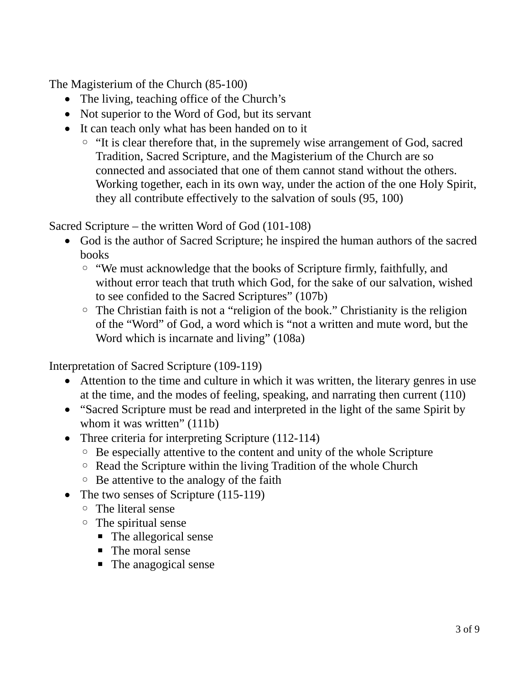The Magisterium of the Church (85-100)

- The living, teaching office of the Church's
- Not superior to the Word of God, but its servant
- It can teach only what has been handed on to it
	- "It is clear therefore that, in the supremely wise arrangement of God, sacred Tradition, Sacred Scripture, and the Magisterium of the Church are so connected and associated that one of them cannot stand without the others. Working together, each in its own way, under the action of the one Holy Spirit, they all contribute effectively to the salvation of souls (95, 100)

Sacred Scripture – the written Word of God (101-108)

- God is the author of Sacred Scripture; he inspired the human authors of the sacred books
	- "We must acknowledge that the books of Scripture firmly, faithfully, and without error teach that truth which God, for the sake of our salvation, wished to see confided to the Sacred Scriptures" (107b)
	- The Christian faith is not a "religion of the book." Christianity is the religion of the "Word" of God, a word which is "not a written and mute word, but the Word which is incarnate and living" (108a)

Interpretation of Sacred Scripture (109-119)

- Attention to the time and culture in which it was written, the literary genres in use at the time, and the modes of feeling, speaking, and narrating then current (110)
- "Sacred Scripture must be read and interpreted in the light of the same Spirit by whom it was written" (111b)
- Three criteria for interpreting Scripture (112-114)
	- Be especially attentive to the content and unity of the whole Scripture
	- Read the Scripture within the living Tradition of the whole Church
	- Be attentive to the analogy of the faith
- The two senses of Scripture (115-119)
	- The literal sense
	- The spiritual sense
		- The allegorical sense
		- The moral sense
		- The anagogical sense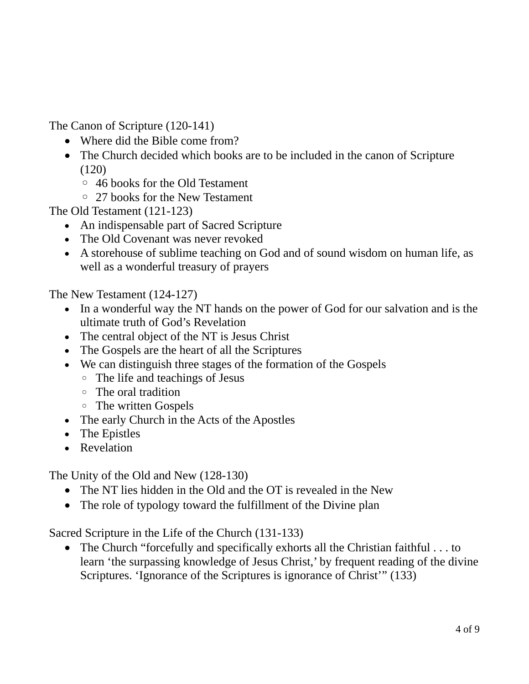The Canon of Scripture (120-141)

- Where did the Bible come from?
- The Church decided which books are to be included in the canon of Scripture (120)
	- 46 books for the Old Testament
	- 27 books for the New Testament

The Old Testament (121-123)

- An indispensable part of Sacred Scripture
- The Old Covenant was never revoked
- A storehouse of sublime teaching on God and of sound wisdom on human life, as well as a wonderful treasury of prayers

The New Testament (124-127)

- In a wonderful way the NT hands on the power of God for our salvation and is the ultimate truth of God's Revelation
- The central object of the NT is Jesus Christ
- The Gospels are the heart of all the Scriptures
- We can distinguish three stages of the formation of the Gospels
	- The life and teachings of Jesus
	- The oral tradition
	- The written Gospels
- The early Church in the Acts of the Apostles
- The Epistles
- Revelation

The Unity of the Old and New (128-130)

- The NT lies hidden in the Old and the OT is revealed in the New
- The role of typology toward the fulfillment of the Divine plan

Sacred Scripture in the Life of the Church (131-133)

 The Church "forcefully and specifically exhorts all the Christian faithful . . . to learn 'the surpassing knowledge of Jesus Christ,' by frequent reading of the divine Scriptures. 'Ignorance of the Scriptures is ignorance of Christ'" (133)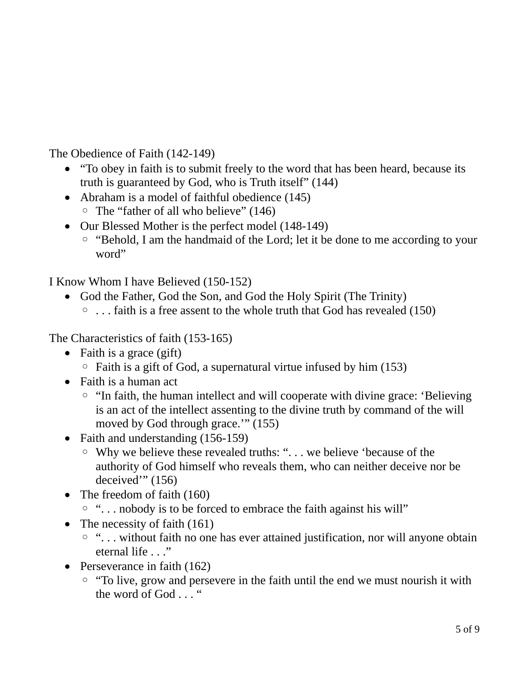The Obedience of Faith (142-149)

- "To obey in faith is to submit freely to the word that has been heard, because its truth is guaranteed by God, who is Truth itself" (144)
- Abraham is a model of faithful obedience (145) ◦ The "father of all who believe" (146)
- Our Blessed Mother is the perfect model (148-149)
	- "Behold, I am the handmaid of the Lord; let it be done to me according to your word"

I Know Whom I have Believed (150-152)

- God the Father, God the Son, and God the Holy Spirit (The Trinity)
	- . . . faith is a free assent to the whole truth that God has revealed (150)

The Characteristics of faith (153-165)

- Faith is a grace  $(gift)$ 
	- Faith is a gift of God, a supernatural virtue infused by him (153)
- Faith is a human act
	- "In faith, the human intellect and will cooperate with divine grace: 'Believing is an act of the intellect assenting to the divine truth by command of the will moved by God through grace.'" (155)
- Faith and understanding (156-159)
	- Why we believe these revealed truths: ". . . we believe 'because of the authority of God himself who reveals them, who can neither deceive nor be deceived'" (156)
- The freedom of faith (160)
	- ". . . nobody is to be forced to embrace the faith against his will"
- The necessity of faith (161)
	- ". . . without faith no one has ever attained justification, nor will anyone obtain eternal life . . ."
- Perseverance in faith (162)
	- "To live, grow and persevere in the faith until the end we must nourish it with the word of God . . . "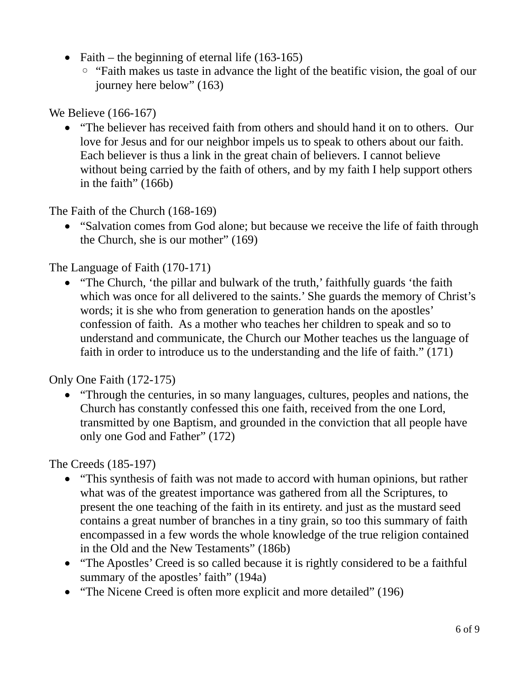- Faith the beginning of eternal life  $(163-165)$ 
	- "Faith makes us taste in advance the light of the beatific vision, the goal of our journey here below" (163)

We Believe (166-167)

 "The believer has received faith from others and should hand it on to others. Our love for Jesus and for our neighbor impels us to speak to others about our faith. Each believer is thus a link in the great chain of believers. I cannot believe without being carried by the faith of others, and by my faith I help support others in the faith" (166b)

The Faith of the Church (168-169)

 "Salvation comes from God alone; but because we receive the life of faith through the Church, she is our mother" (169)

The Language of Faith (170-171)

 "The Church, 'the pillar and bulwark of the truth,' faithfully guards 'the faith which was once for all delivered to the saints.' She guards the memory of Christ's words; it is she who from generation to generation hands on the apostles' confession of faith. As a mother who teaches her children to speak and so to understand and communicate, the Church our Mother teaches us the language of faith in order to introduce us to the understanding and the life of faith." (171)

Only One Faith (172-175)

 "Through the centuries, in so many languages, cultures, peoples and nations, the Church has constantly confessed this one faith, received from the one Lord, transmitted by one Baptism, and grounded in the conviction that all people have only one God and Father" (172)

The Creeds (185-197)

- "This synthesis of faith was not made to accord with human opinions, but rather what was of the greatest importance was gathered from all the Scriptures, to present the one teaching of the faith in its entirety. and just as the mustard seed contains a great number of branches in a tiny grain, so too this summary of faith encompassed in a few words the whole knowledge of the true religion contained in the Old and the New Testaments" (186b)
- "The Apostles' Creed is so called because it is rightly considered to be a faithful summary of the apostles' faith" (194a)
- "The Nicene Creed is often more explicit and more detailed" (196)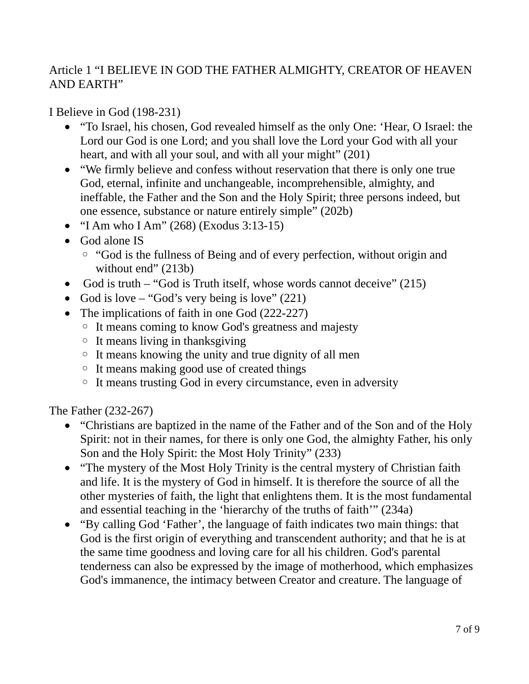### Article 1 "I BELIEVE IN GOD THE FATHER ALMIGHTY, CREATOR OF HEAVEN AND EARTH"

#### I Believe in God (198-231)

- "To Israel, his chosen, God revealed himself as the only One: 'Hear, O Israel: the Lord our God is one Lord; and you shall love the Lord your God with all your heart, and with all your soul, and with all your might" (201)
- "We firmly believe and confess without reservation that there is only one true God, eternal, infinite and unchangeable, incomprehensible, almighty, and ineffable, the Father and the Son and the Holy Spirit; three persons indeed, but one essence, substance or nature entirely simple" (202b)
- "I Am who I Am" (268) (Exodus 3:13-15)
- God alone IS
	- "God is the fullness of Being and of every perfection, without origin and without end" (213b)
- God is truth "God is Truth itself, whose words cannot deceive" (215)
- God is love "God's very being is love"  $(221)$
- The implications of faith in one God (222-227)
	- It means coming to know God's greatness and majesty
	- It means living in thanksgiving
	- It means knowing the unity and true dignity of all men
	- It means making good use of created things
	- It means trusting God in every circumstance, even in adversity

The Father (232-267)

- "Christians are baptized in the name of the Father and of the Son and of the Holy Spirit: not in their names, for there is only one God, the almighty Father, his only Son and the Holy Spirit: the Most Holy Trinity" (233)
- "The mystery of the Most Holy Trinity is the central mystery of Christian faith and life. It is the mystery of God in himself. It is therefore the source of all the other mysteries of faith, the light that enlightens them. It is the most fundamental and essential teaching in the 'hierarchy of the truths of faith'" (234a)
- "By calling God 'Father', the language of faith indicates two main things: that God is the first origin of everything and transcendent authority; and that he is at the same time goodness and loving care for all his children. God's parental tenderness can also be expressed by the image of motherhood, which emphasizes God's immanence, the intimacy between Creator and creature. The language of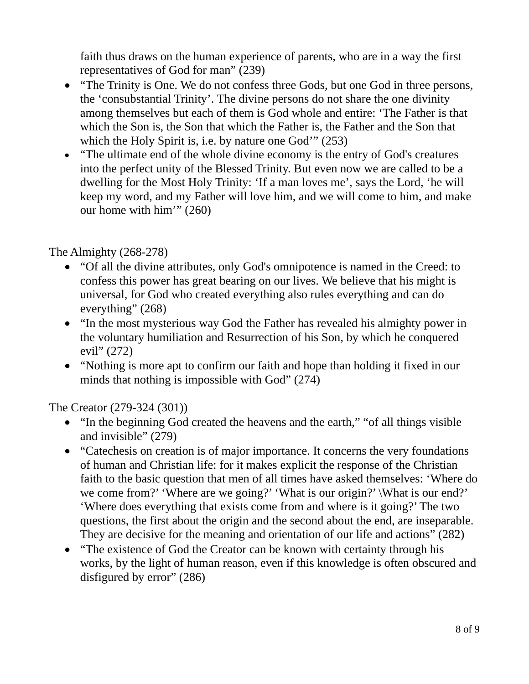faith thus draws on the human experience of parents, who are in a way the first representatives of God for man" (239)

- "The Trinity is One. We do not confess three Gods, but one God in three persons, the 'consubstantial Trinity'. The divine persons do not share the one divinity among themselves but each of them is God whole and entire: 'The Father is that which the Son is, the Son that which the Father is, the Father and the Son that which the Holy Spirit is, i.e. by nature one God'" (253)
- "The ultimate end of the whole divine economy is the entry of God's creatures into the perfect unity of the Blessed Trinity. But even now we are called to be a dwelling for the Most Holy Trinity: 'If a man loves me', says the Lord, 'he will keep my word, and my Father will love him, and we will come to him, and make our home with him'" (260)

The Almighty (268-278)

- "Of all the divine attributes, only God's omnipotence is named in the Creed: to confess this power has great bearing on our lives. We believe that his might is universal, for God who created everything also rules everything and can do everything" (268)
- "In the most mysterious way God the Father has revealed his almighty power in the voluntary humiliation and Resurrection of his Son, by which he conquered evil" (272)
- "Nothing is more apt to confirm our faith and hope than holding it fixed in our minds that nothing is impossible with God" (274)

The Creator (279-324 (301))

- "In the beginning God created the heavens and the earth," "of all things visible and invisible" (279)
- "Catechesis on creation is of major importance. It concerns the very foundations of human and Christian life: for it makes explicit the response of the Christian faith to the basic question that men of all times have asked themselves: 'Where do we come from?' 'Where are we going?' 'What is our origin?' \What is our end?' 'Where does everything that exists come from and where is it going?' The two questions, the first about the origin and the second about the end, are inseparable. They are decisive for the meaning and orientation of our life and actions" (282)
- "The existence of God the Creator can be known with certainty through his works, by the light of human reason, even if this knowledge is often obscured and disfigured by error" (286)